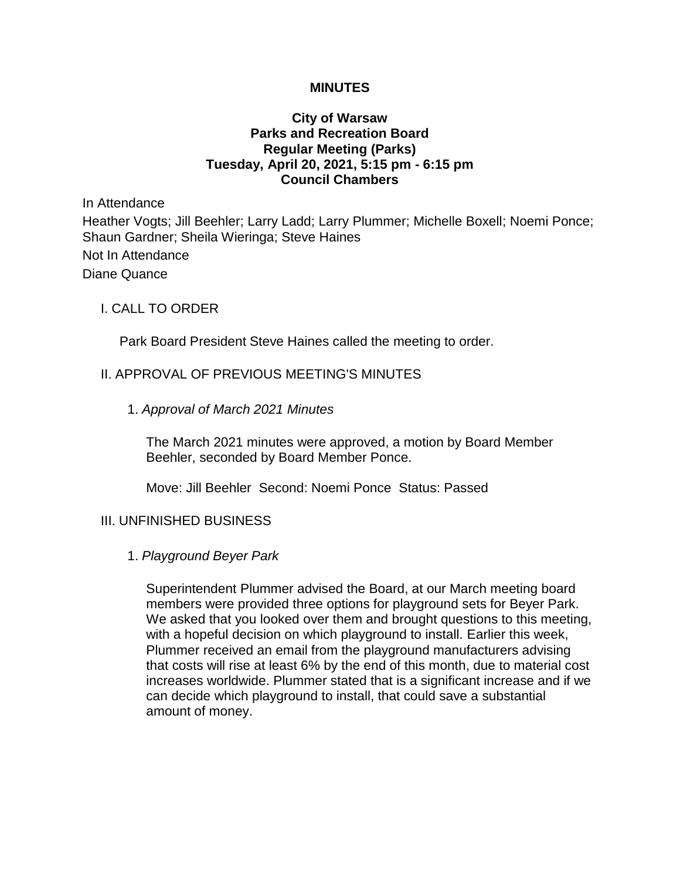## **MINUTES**

## **City of Warsaw Parks and Recreation Board Regular Meeting (Parks) Tuesday, April 20, 2021, 5:15 pm - 6:15 pm Council Chambers**

In Attendance

Heather Vogts; Jill Beehler; Larry Ladd; Larry Plummer; Michelle Boxell; Noemi Ponce; Shaun Gardner; Sheila Wieringa; Steve Haines

Not In Attendance Diane Quance

## I. CALL TO ORDER

Park Board President Steve Haines called the meeting to order.

## II. APPROVAL OF PREVIOUS MEETING'S MINUTES

1. *Approval of March 2021 Minutes*

The March 2021 minutes were approved, a motion by Board Member Beehler, seconded by Board Member Ponce.

Move: Jill Beehler Second: Noemi Ponce Status: Passed

## III. UNFINISHED BUSINESS

#### 1. *Playground Beyer Park*

Superintendent Plummer advised the Board, at our March meeting board members were provided three options for playground sets for Beyer Park. We asked that you looked over them and brought questions to this meeting, with a hopeful decision on which playground to install. Earlier this week, Plummer received an email from the playground manufacturers advising that costs will rise at least 6% by the end of this month, due to material cost increases worldwide. Plummer stated that is a significant increase and if we can decide which playground to install, that could save a substantial amount of money.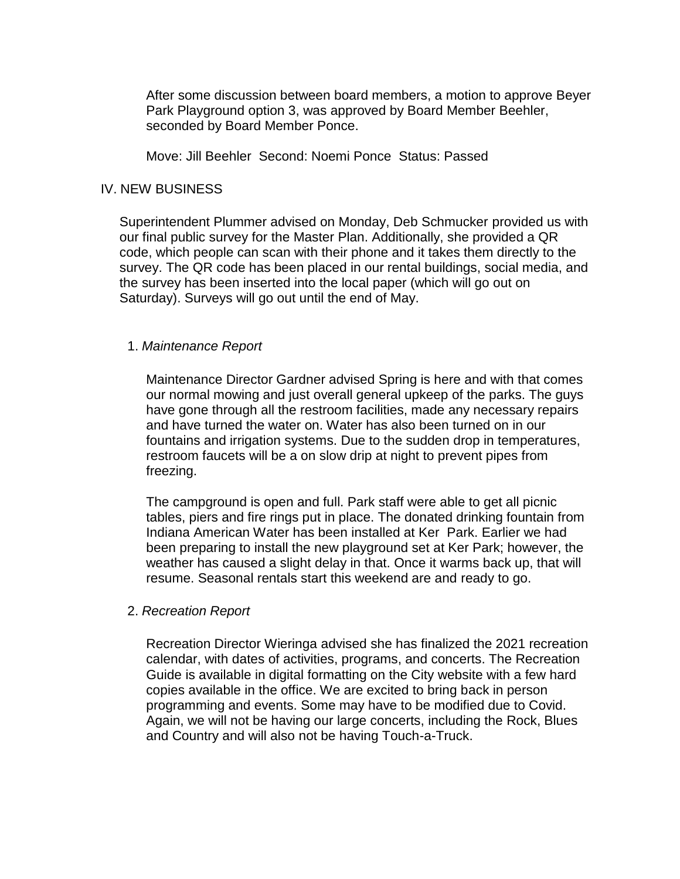After some discussion between board members, a motion to approve Beyer Park Playground option 3, was approved by Board Member Beehler, seconded by Board Member Ponce.

Move: Jill Beehler Second: Noemi Ponce Status: Passed

## IV. NEW BUSINESS

Superintendent Plummer advised on Monday, Deb Schmucker provided us with our final public survey for the Master Plan. Additionally, she provided a QR code, which people can scan with their phone and it takes them directly to the survey. The QR code has been placed in our rental buildings, social media, and the survey has been inserted into the local paper (which will go out on Saturday). Surveys will go out until the end of May.

#### 1. *Maintenance Report*

Maintenance Director Gardner advised Spring is here and with that comes our normal mowing and just overall general upkeep of the parks. The guys have gone through all the restroom facilities, made any necessary repairs and have turned the water on. Water has also been turned on in our fountains and irrigation systems. Due to the sudden drop in temperatures, restroom faucets will be a on slow drip at night to prevent pipes from freezing.

The campground is open and full. Park staff were able to get all picnic tables, piers and fire rings put in place. The donated drinking fountain from Indiana American Water has been installed at Ker Park. Earlier we had been preparing to install the new playground set at Ker Park; however, the weather has caused a slight delay in that. Once it warms back up, that will resume. Seasonal rentals start this weekend are and ready to go.

#### 2. *Recreation Report*

Recreation Director Wieringa advised she has finalized the 2021 recreation calendar, with dates of activities, programs, and concerts. The Recreation Guide is available in digital formatting on the City website with a few hard copies available in the office. We are excited to bring back in person programming and events. Some may have to be modified due to Covid. Again, we will not be having our large concerts, including the Rock, Blues and Country and will also not be having Touch-a-Truck.